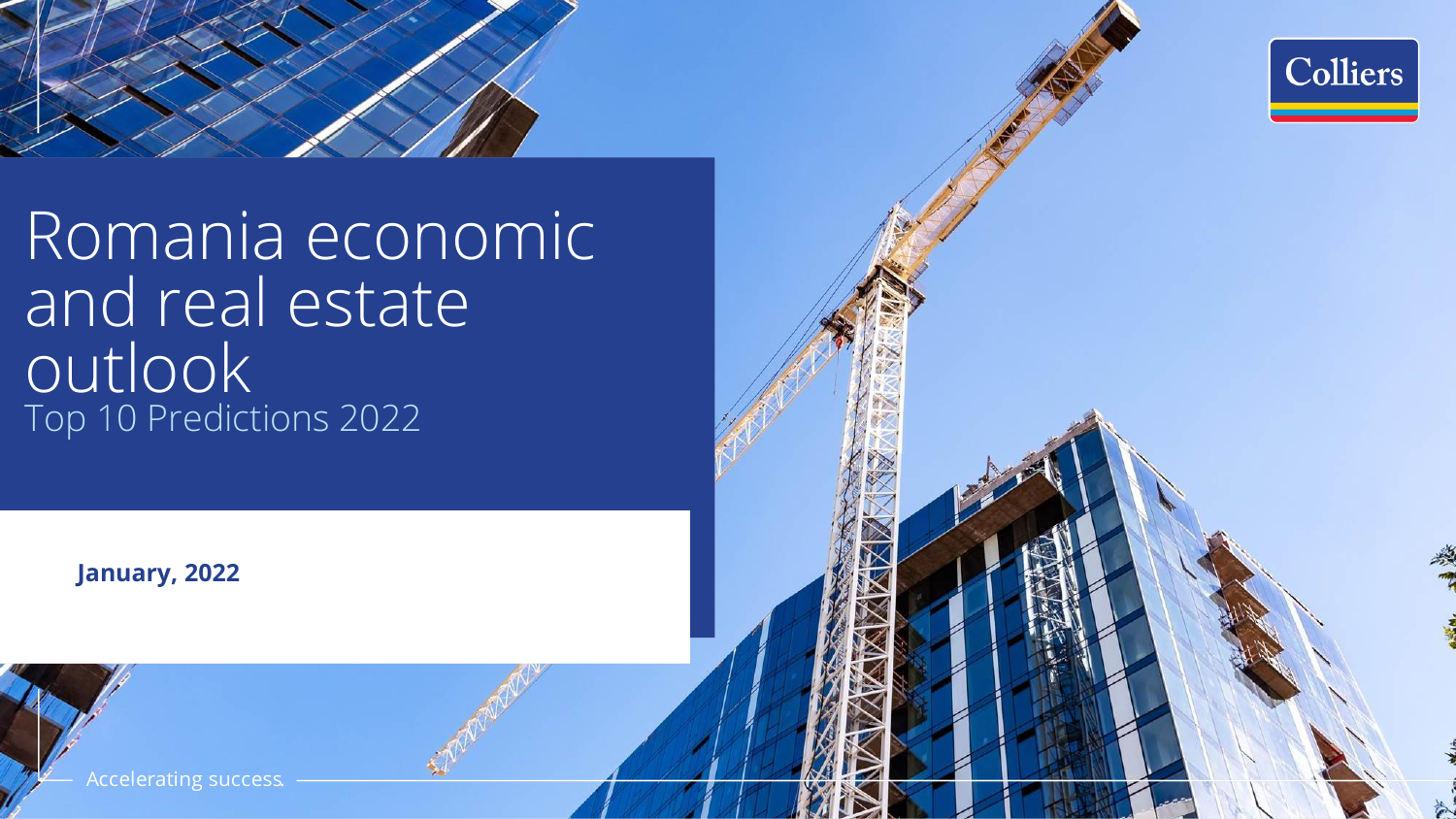

Colliers

Top 10 Predictions 2022 Romania economic and real estate outlook

**January, 2022**

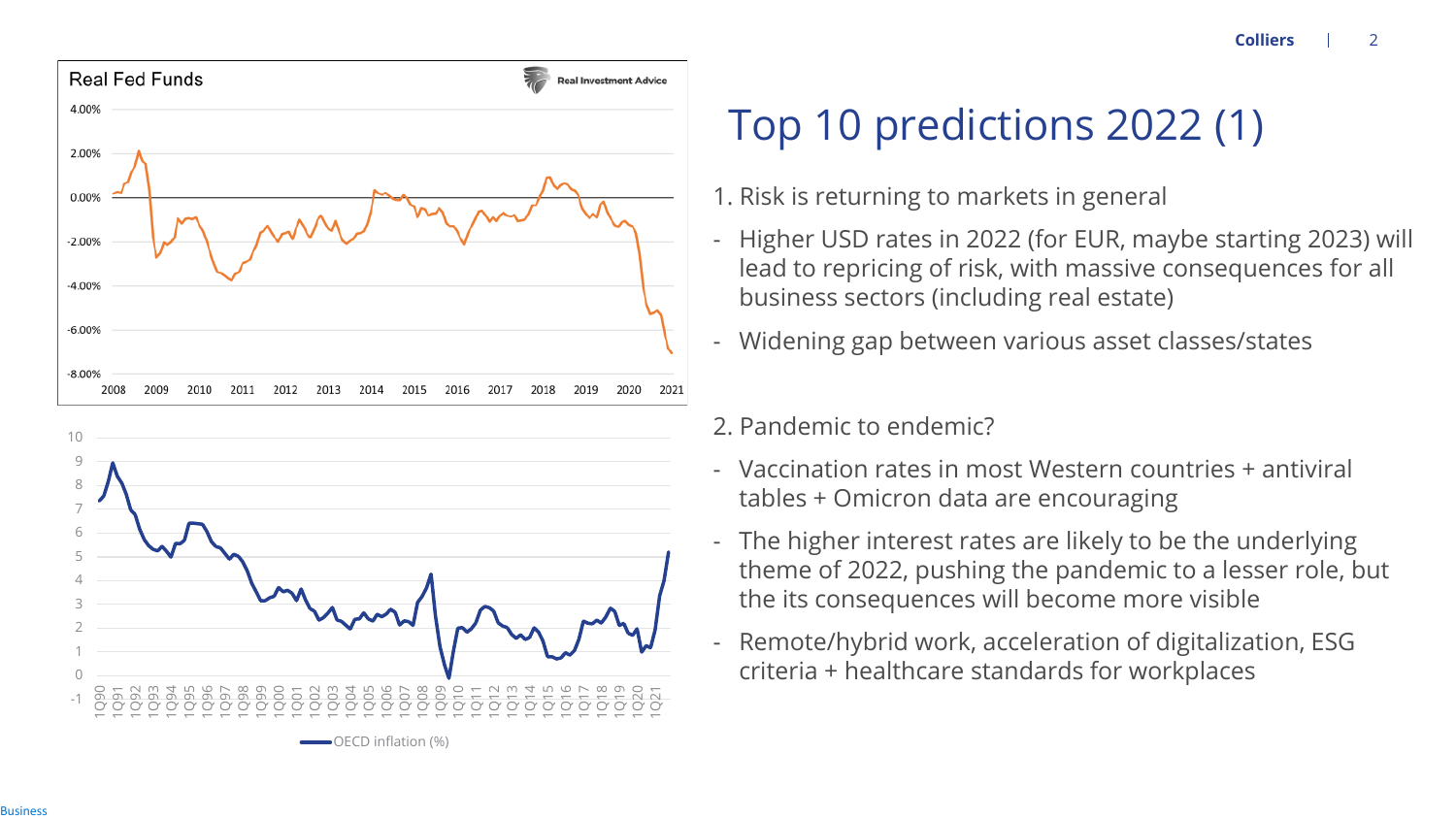

# Top 10 predictions 2022 (1)

- 1. Risk is returning to markets in general
- Higher USD rates in 2022 (for EUR, maybe starting 2023) will lead to repricing of risk, with massive consequences for all business sectors (including real estate)
- Widening gap between various asset classes/states
- 2. Pandemic to endemic?
- Vaccination rates in most Western countries + antiviral tables + Omicron data are encouraging
- The higher interest rates are likely to be the underlying theme of 2022, pushing the pandemic to a lesser role, but the its consequences will become more visible
- Remote/hybrid work, acceleration of digitalization, ESG criteria + healthcare standards for workplaces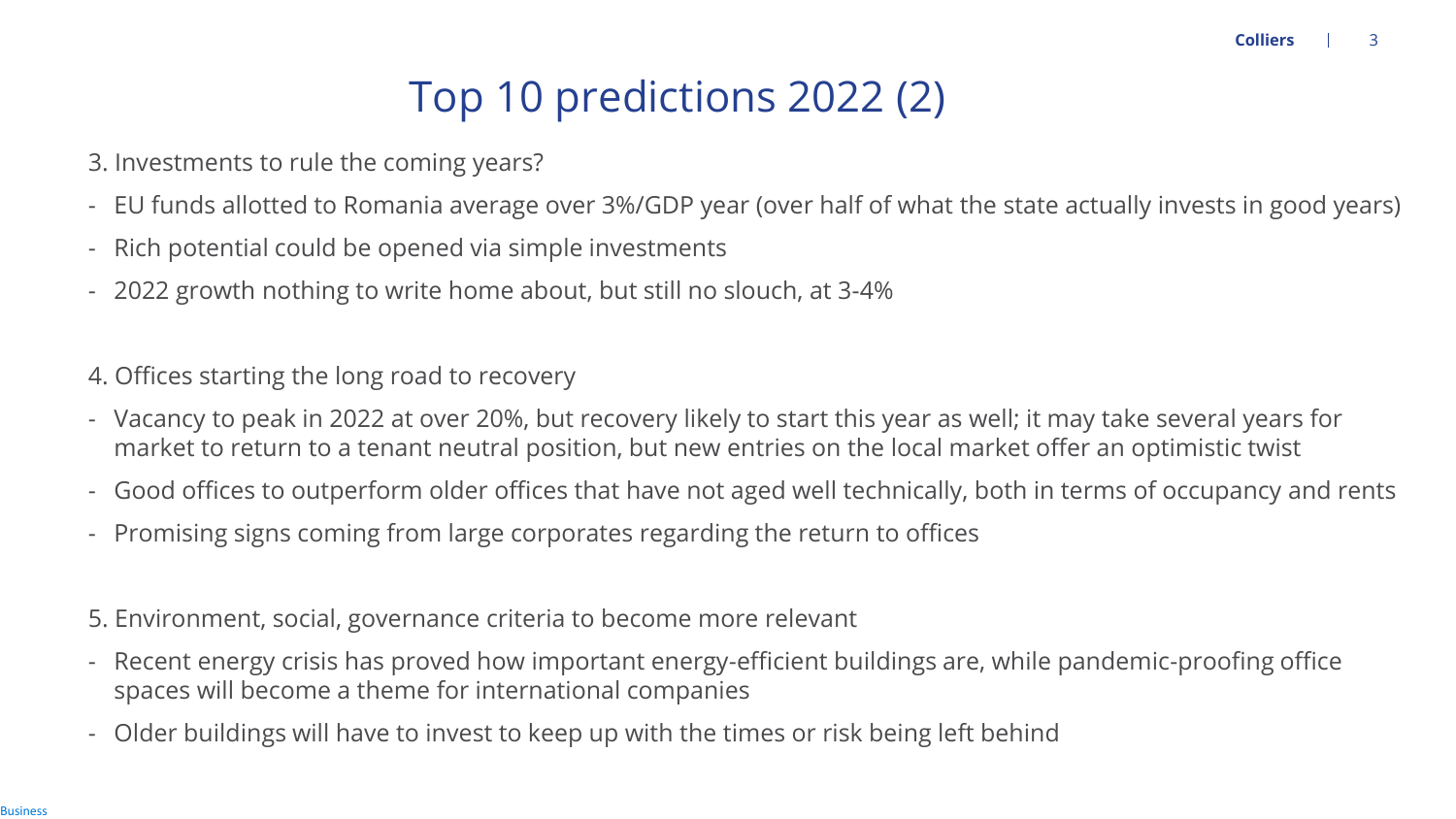#### Top 10 predictions 2022 (2)

- 3. Investments to rule the coming years?
- EU funds allotted to Romania average over 3%/GDP year (over half of what the state actually invests in good years)
- Rich potential could be opened via simple investments
- 2022 growth nothing to write home about, but still no slouch, at 3-4%

4. Offices starting the long road to recovery

- Vacancy to peak in 2022 at over 20%, but recovery likely to start this year as well; it may take several years for market to return to a tenant neutral position, but new entries on the local market offer an optimistic twist
- Good offices to outperform older offices that have not aged well technically, both in terms of occupancy and rents
- Promising signs coming from large corporates regarding the return to offices

5. Environment, social, governance criteria to become more relevant

- Recent energy crisis has proved how important energy-efficient buildings are, while pandemic-proofing office spaces will become a theme for international companies
- Older buildings will have to invest to keep up with the times or risk being left behind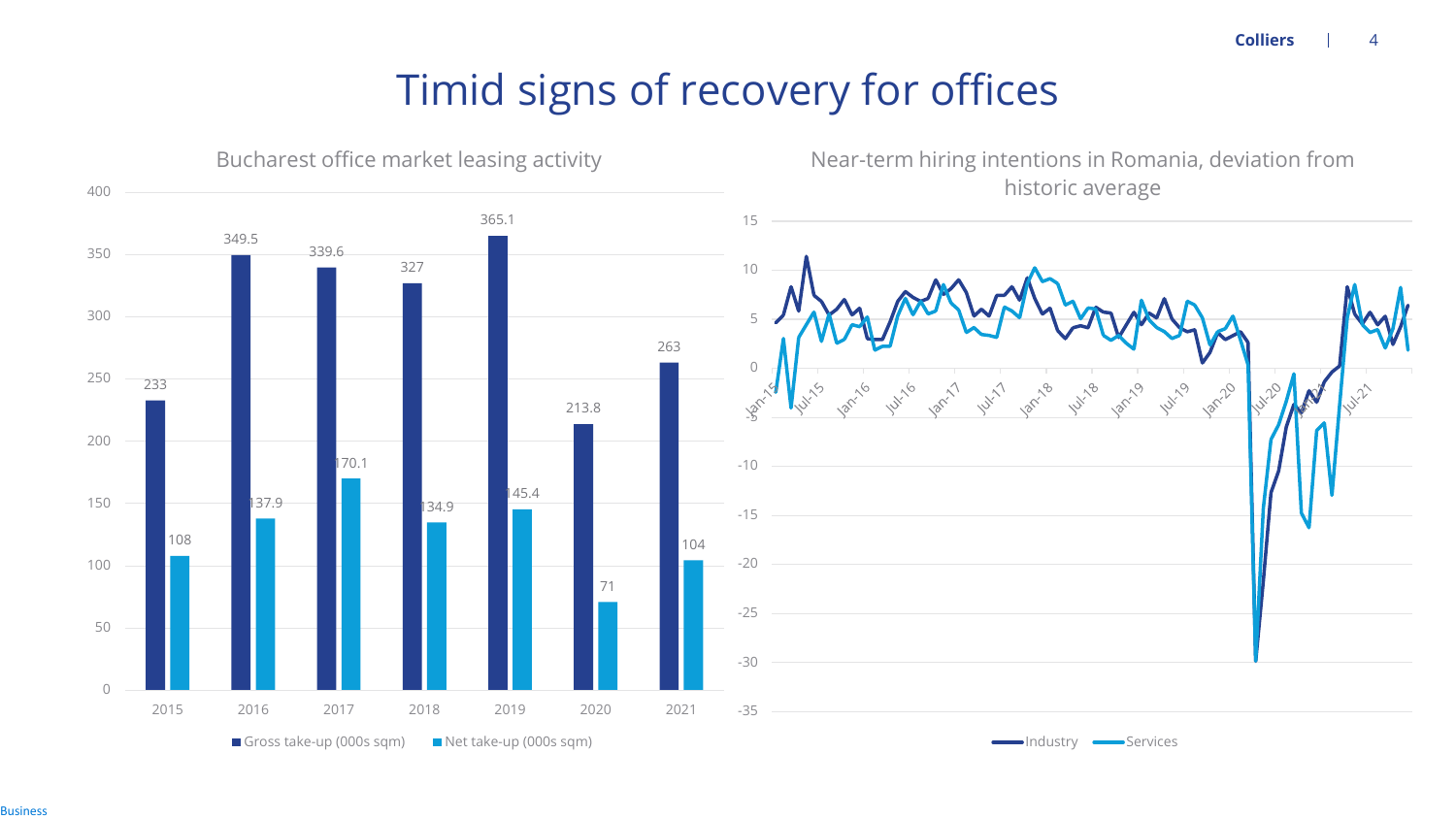**Colliers** 4

#### Timid signs of recovery for offices

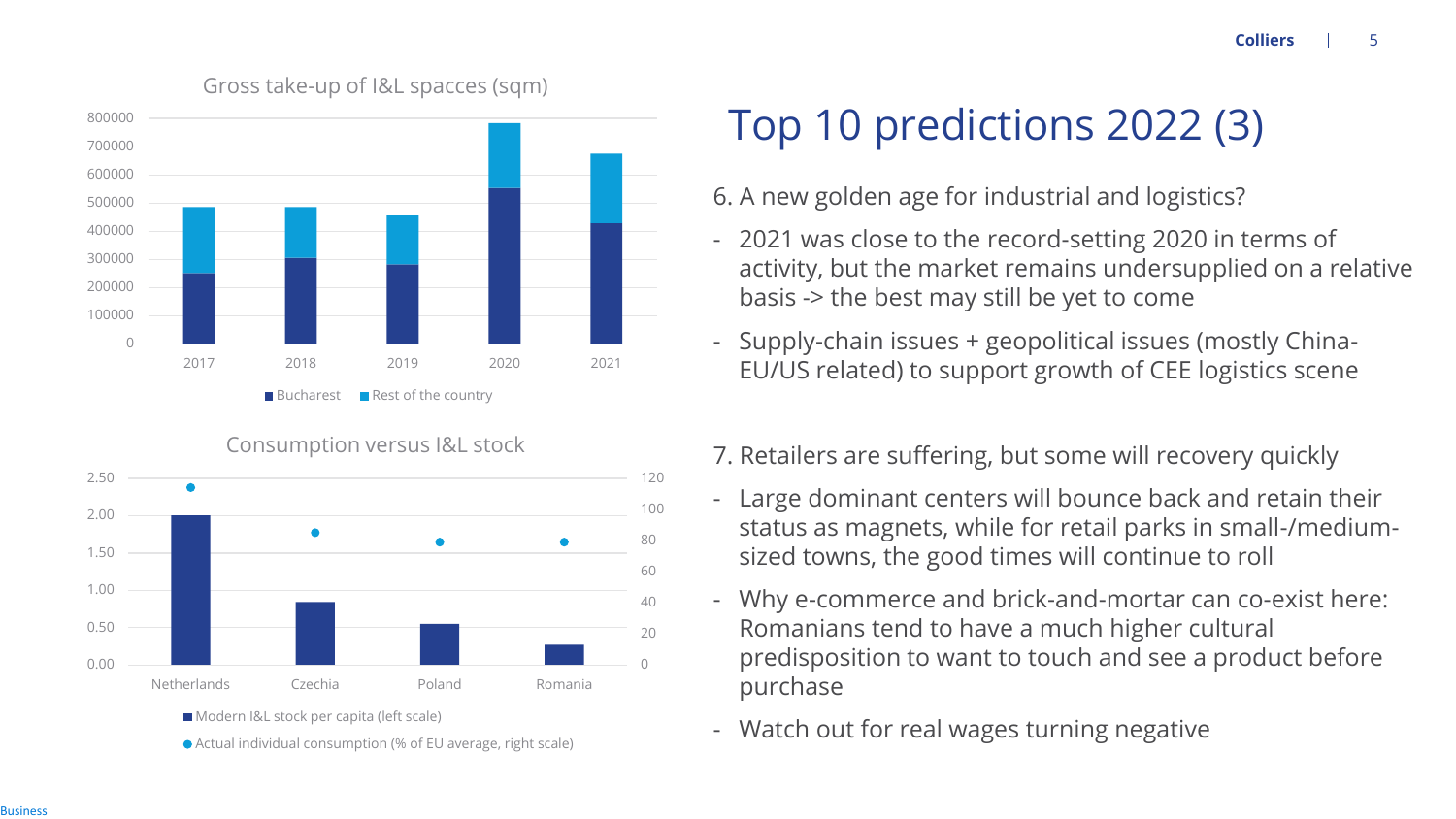

Consumption versus I&L stock 2.50 2.00  $\bullet$ 1.50 1.00 0.50

Netherlands Czechia Poland Romania

Actual individual consumption (% of EU average, right scale)

**Modern I&L stock per capita (left scale)** 

 $\bigcap$ 

20 40

60

80

100

120

# Top 10 predictions 2022 (3)

6. A new golden age for industrial and logistics?

- 2021 was close to the record-setting 2020 in terms of activity, but the market remains undersupplied on a relative basis -> the best may still be yet to come
- Supply-chain issues + geopolitical issues (mostly China-EU/US related) to support growth of CEE logistics scene
- 7. Retailers are suffering, but some will recovery quickly
- Large dominant centers will bounce back and retain their status as magnets, while for retail parks in small-/mediumsized towns, the good times will continue to roll
- Why e-commerce and brick-and-mortar can co-exist here: Romanians tend to have a much higher cultural predisposition to want to touch and see a product before purchase
- Watch out for real wages turning negative

Gross take-up of I&L spacces (sqm)

0.00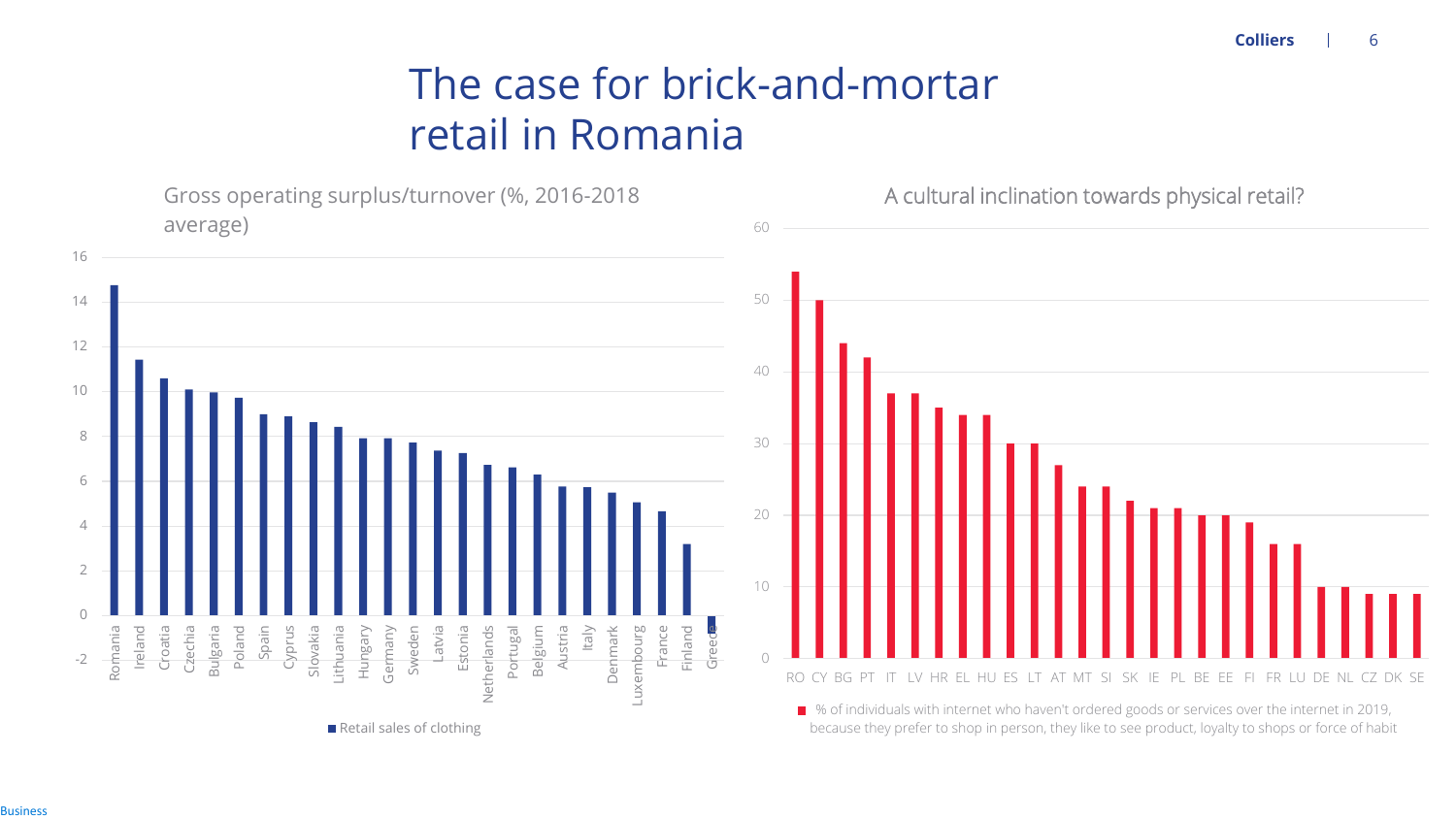### The case for brick-and-mortar retail in Romania



**Business**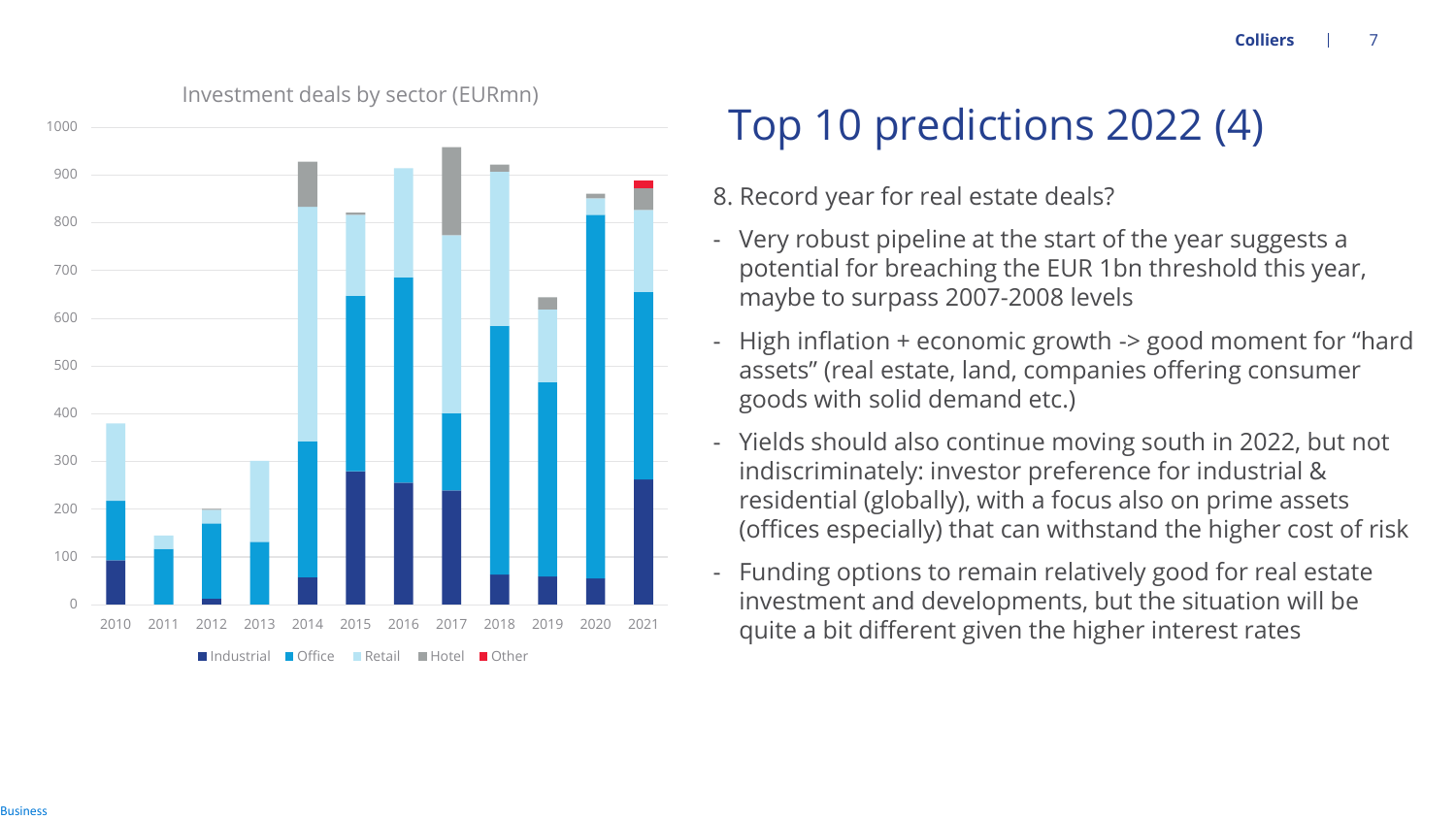

#### Investment deals by sector (EURmn)

# Top 10 predictions 2022 (4)

8. Record year for real estate deals?

- Very robust pipeline at the start of the year suggests a potential for breaching the EUR 1bn threshold this year, maybe to surpass 2007-2008 levels
- High inflation  $+$  economic growth  $-$  good moment for "hard assets" (real estate, land, companies offering consumer goods with solid demand etc.)
- Yields should also continue moving south in 2022, but not indiscriminately: investor preference for industrial & residential (globally), with a focus also on prime assets (offices especially) that can withstand the higher cost of risk
- Funding options to remain relatively good for real estate investment and developments, but the situation will be quite a bit different given the higher interest rates